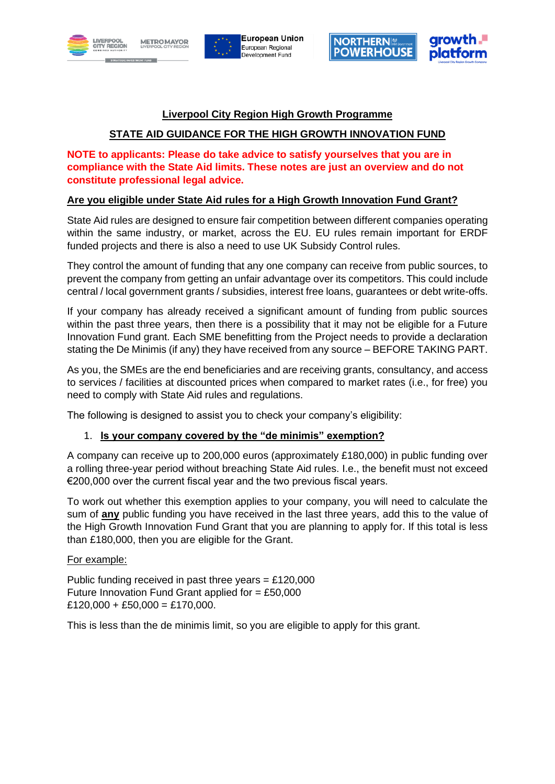







# **Liverpool City Region High Growth Programme**

# **STATE AID GUIDANCE FOR THE HIGH GROWTH INNOVATION FUND**

**NOTE to applicants: Please do take advice to satisfy yourselves that you are in compliance with the State Aid limits. These notes are just an overview and do not constitute professional legal advice.**

## **Are you eligible under State Aid rules for a High Growth Innovation Fund Grant?**

State Aid rules are designed to ensure fair competition between different companies operating within the same industry, or market, across the EU. EU rules remain important for ERDF funded projects and there is also a need to use UK Subsidy Control rules.

They control the amount of funding that any one company can receive from public sources, to prevent the company from getting an unfair advantage over its competitors. This could include central / local government grants / subsidies, interest free loans, guarantees or debt write-offs.

If your company has already received a significant amount of funding from public sources within the past three years, then there is a possibility that it may not be eligible for a Future Innovation Fund grant. Each SME benefitting from the Project needs to provide a declaration stating the De Minimis (if any) they have received from any source – BEFORE TAKING PART.

As you, the SMEs are the end beneficiaries and are receiving grants, consultancy, and access to services / facilities at discounted prices when compared to market rates (i.e., for free) you need to comply with State Aid rules and regulations.

The following is designed to assist you to check your company's eligibility:

### 1. **Is your company covered by the "de minimis" exemption?**

A company can receive up to 200,000 euros (approximately £180,000) in public funding over a rolling three-year period without breaching State Aid rules. I.e., the benefit must not exceed €200,000 over the current fiscal year and the two previous fiscal years.

To work out whether this exemption applies to your company, you will need to calculate the sum of **any** public funding you have received in the last three years, add this to the value of the High Growth Innovation Fund Grant that you are planning to apply for. If this total is less than £180,000, then you are eligible for the Grant.

#### For example:

Public funding received in past three years =  $£120,000$ Future Innovation Fund Grant applied for  $= \text{\pounds}50,000$  $£120,000 + £50,000 = £170,000.$ 

This is less than the de minimis limit, so you are eligible to apply for this grant.